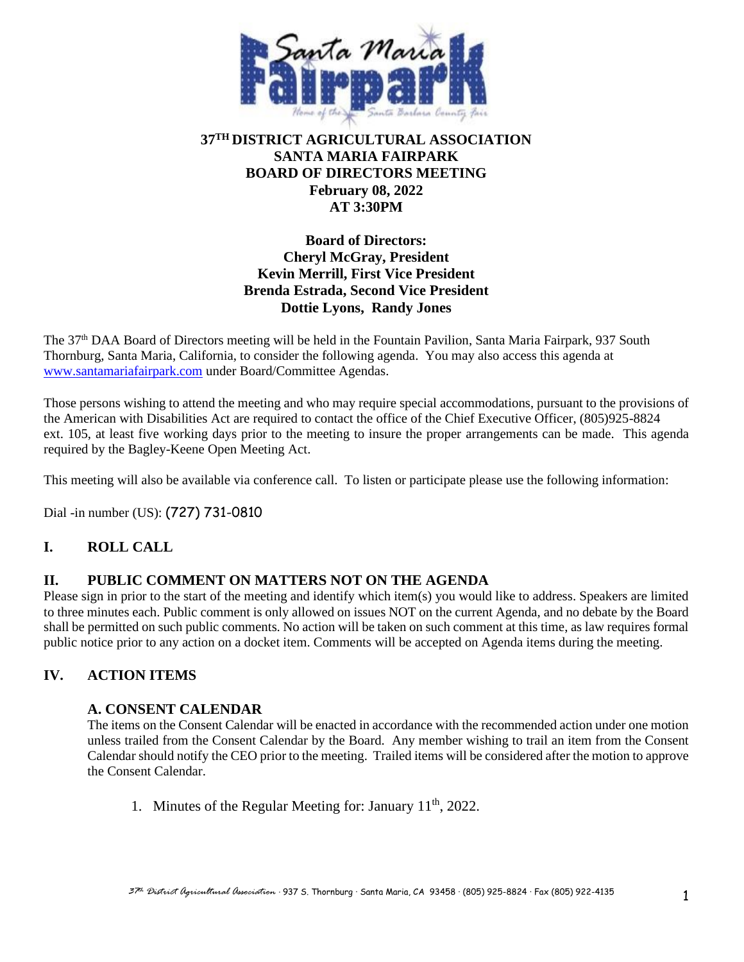

# **37TH DISTRICT AGRICULTURAL ASSOCIATION SANTA MARIA FAIRPARK BOARD OF DIRECTORS MEETING February 08, 2022 AT 3:30PM**

# **Board of Directors: Cheryl McGray, President Kevin Merrill, First Vice President Brenda Estrada, Second Vice President Dottie Lyons, Randy Jones**

The 37th DAA Board of Directors meeting will be held in the Fountain Pavilion, Santa Maria Fairpark, 937 South Thornburg, Santa Maria, California, to consider the following agenda. You may also access this agenda at [www.santamariafairpark.com](http://www.santamariafairpark.com/) under Board/Committee Agendas.

Those persons wishing to attend the meeting and who may require special accommodations, pursuant to the provisions of the American with Disabilities Act are required to contact the office of the Chief Executive Officer, (805)925-8824 ext. 105, at least five working days prior to the meeting to insure the proper arrangements can be made. This agenda required by the Bagley-Keene Open Meeting Act.

This meeting will also be available via conference call. To listen or participate please use the following information:

Dial -in number (US): (727) 731-0810

# **I. ROLL CALL**

# **II. PUBLIC COMMENT ON MATTERS NOT ON THE AGENDA**

Please sign in prior to the start of the meeting and identify which item(s) you would like to address. Speakers are limited to three minutes each. Public comment is only allowed on issues NOT on the current Agenda, and no debate by the Board shall be permitted on such public comments. No action will be taken on such comment at this time, as law requires formal public notice prior to any action on a docket item. Comments will be accepted on Agenda items during the meeting.

# **IV. ACTION ITEMS**

## **A. CONSENT CALENDAR**

The items on the Consent Calendar will be enacted in accordance with the recommended action under one motion unless trailed from the Consent Calendar by the Board. Any member wishing to trail an item from the Consent Calendar should notify the CEO prior to the meeting. Trailed items will be considered after the motion to approve the Consent Calendar.

1. Minutes of the Regular Meeting for: January 11<sup>th</sup>, 2022.